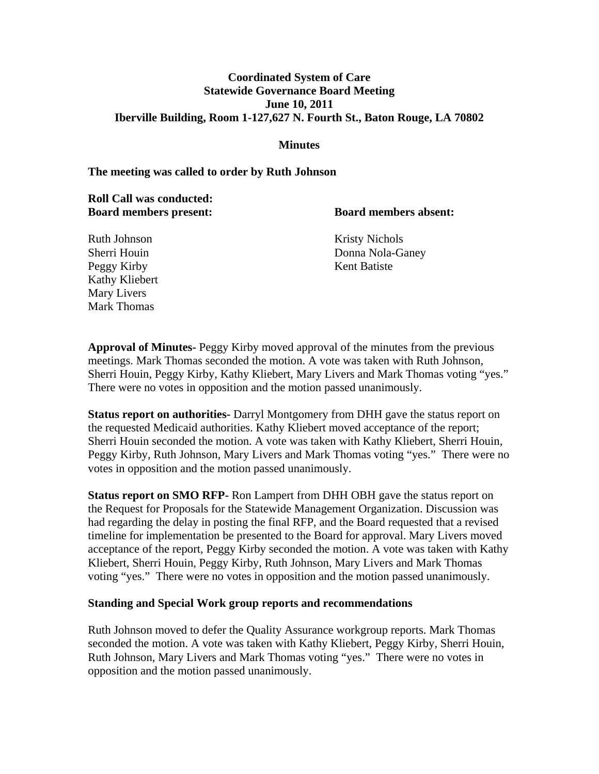## **Coordinated System of Care Statewide Governance Board Meeting June 10, 2011 Iberville Building, Room 1-127,627 N. Fourth St., Baton Rouge, LA 70802**

### **Minutes**

#### **The meeting was called to order by Ruth Johnson**

| <b>Roll Call was conducted:</b> |  |
|---------------------------------|--|
| <b>Board members present:</b>   |  |

**Board members absent:** 

Peggy Kirby Kent Batiste Kathy Kliebert Mary Livers Mark Thomas

Ruth Johnson Kristy Nichols Sherri Houin Donna Nola-Ganey

**Approval of Minutes-** Peggy Kirby moved approval of the minutes from the previous meetings. Mark Thomas seconded the motion. A vote was taken with Ruth Johnson, Sherri Houin, Peggy Kirby, Kathy Kliebert, Mary Livers and Mark Thomas voting "yes." There were no votes in opposition and the motion passed unanimously.

**Status report on authorities-** Darryl Montgomery from DHH gave the status report on the requested Medicaid authorities. Kathy Kliebert moved acceptance of the report; Sherri Houin seconded the motion. A vote was taken with Kathy Kliebert, Sherri Houin, Peggy Kirby, Ruth Johnson, Mary Livers and Mark Thomas voting "yes." There were no votes in opposition and the motion passed unanimously.

**Status report on SMO RFP-** Ron Lampert from DHH OBH gave the status report on the Request for Proposals for the Statewide Management Organization. Discussion was had regarding the delay in posting the final RFP, and the Board requested that a revised timeline for implementation be presented to the Board for approval. Mary Livers moved acceptance of the report, Peggy Kirby seconded the motion. A vote was taken with Kathy Kliebert, Sherri Houin, Peggy Kirby, Ruth Johnson, Mary Livers and Mark Thomas voting "yes." There were no votes in opposition and the motion passed unanimously.

#### **Standing and Special Work group reports and recommendations**

Ruth Johnson moved to defer the Quality Assurance workgroup reports. Mark Thomas seconded the motion. A vote was taken with Kathy Kliebert, Peggy Kirby, Sherri Houin, Ruth Johnson, Mary Livers and Mark Thomas voting "yes." There were no votes in opposition and the motion passed unanimously.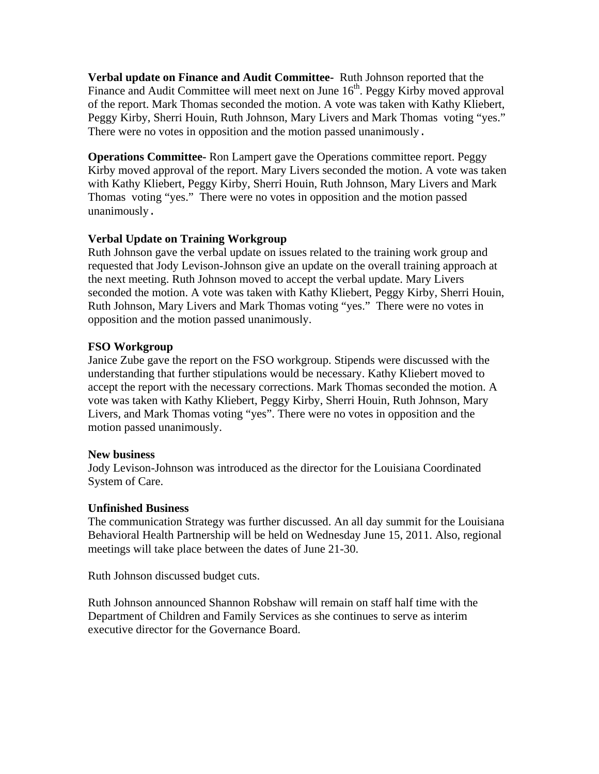**Verbal update on Finance and Audit Committee-** Ruth Johnson reported that the Finance and Audit Committee will meet next on June 16<sup>th</sup>. Peggy Kirby moved approval of the report. Mark Thomas seconded the motion. A vote was taken with Kathy Kliebert, Peggy Kirby, Sherri Houin, Ruth Johnson, Mary Livers and Mark Thomas voting "yes." There were no votes in opposition and the motion passed unanimously.

**Operations Committee-** Ron Lampert gave the Operations committee report. Peggy Kirby moved approval of the report. Mary Livers seconded the motion. A vote was taken with Kathy Kliebert, Peggy Kirby, Sherri Houin, Ruth Johnson, Mary Livers and Mark Thomas voting "yes." There were no votes in opposition and the motion passed unanimously.

## **Verbal Update on Training Workgroup**

Ruth Johnson gave the verbal update on issues related to the training work group and requested that Jody Levison-Johnson give an update on the overall training approach at the next meeting. Ruth Johnson moved to accept the verbal update. Mary Livers seconded the motion. A vote was taken with Kathy Kliebert, Peggy Kirby, Sherri Houin, Ruth Johnson, Mary Livers and Mark Thomas voting "yes." There were no votes in opposition and the motion passed unanimously.

## **FSO Workgroup**

Janice Zube gave the report on the FSO workgroup. Stipends were discussed with the understanding that further stipulations would be necessary. Kathy Kliebert moved to accept the report with the necessary corrections. Mark Thomas seconded the motion. A vote was taken with Kathy Kliebert, Peggy Kirby, Sherri Houin, Ruth Johnson, Mary Livers, and Mark Thomas voting "yes". There were no votes in opposition and the motion passed unanimously.

## **New business**

Jody Levison-Johnson was introduced as the director for the Louisiana Coordinated System of Care.

# **Unfinished Business**

The communication Strategy was further discussed. An all day summit for the Louisiana Behavioral Health Partnership will be held on Wednesday June 15, 2011. Also, regional meetings will take place between the dates of June 21-30.

Ruth Johnson discussed budget cuts.

Ruth Johnson announced Shannon Robshaw will remain on staff half time with the Department of Children and Family Services as she continues to serve as interim executive director for the Governance Board.